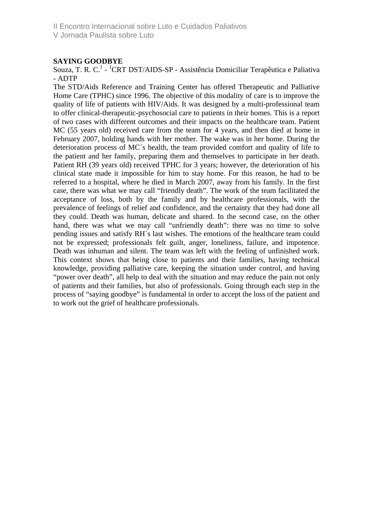II Encontro Internacional sobre Luto e Cuidados Paliativos

V Jornada Paulista sobre Luto

## **SAYING GOODBYE**

Souza, T. R. C.<sup>1</sup> - <sup>1</sup>CRT DST/AIDS-SP - Assistência Domiciliar Terapêutica e Paliativa - ADTP

The STD/Aids Reference and Training Center has offered Therapeutic and Palliative Home Care (TPHC) since 1996. The objective of this modality of care is to improve the quality of life of patients with HIV/Aids. It was designed by a multi-professional team to offer clinical-therapeutic-psychosocial care to patients in their homes. This is a report of two cases with different outcomes and their impacts on the healthcare team. Patient MC (55 years old) received care from the team for 4 years, and then died at home in February 2007, holding hands with her mother. The wake was in her home. During the deterioration process of MC´s health, the team provided comfort and quality of life to the patient and her family, preparing them and themselves to participate in her death. Patient RH (39 years old) received TPHC for 3 years; however, the deterioration of his clinical state made it impossible for him to stay home. For this reason, he had to be referred to a hospital, where he died in March 2007, away from his family. In the first case, there was what we may call "friendly death". The work of the team facilitated the acceptance of loss, both by the family and by healthcare professionals, with the prevalence of feelings of relief and confidence, and the certainty that they had done all they could. Death was human, delicate and shared. In the second case, on the other hand, there was what we may call "unfriendly death": there was no time to solve pending issues and satisfy RH´s last wishes. The emotions of the healthcare team could not be expressed; professionals felt guilt, anger, loneliness, failure, and impotence. Death was inhuman and silent. The team was left with the feeling of unfinished work. This context shows that being close to patients and their families, having technical knowledge, providing palliative care, keeping the situation under control, and having "power over death", all help to deal with the situation and may reduce the pain not only of patients and their families, but also of professionals. Going through each step in the process of "saying goodbye" is fundamental in order to accept the loss of the patient and to work out the grief of healthcare professionals.